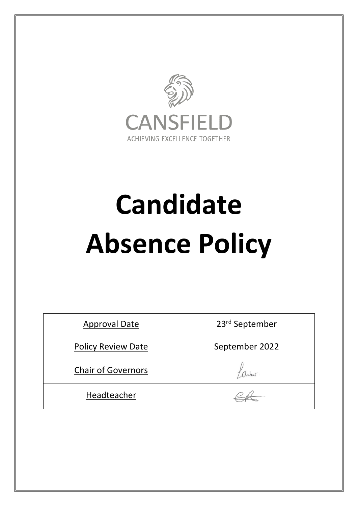

# **Candidate Absence Policy**

| <b>Approval Date</b>      | 23rd September |
|---------------------------|----------------|
| <b>Policy Review Date</b> | September 2022 |
| <b>Chair of Governors</b> | aches.         |
| Headteacher               |                |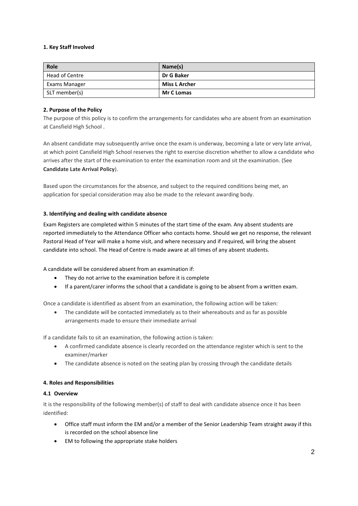## **1. Key Staff Involved**

| Role           | Name(s)              |
|----------------|----------------------|
| Head of Centre | Dr G Baker           |
| Exams Manager  | <b>Miss L Archer</b> |
| SLT member(s)  | <b>Mr C Lomas</b>    |

## **2. Purpose of the Policy**

The purpose of this policy is to confirm the arrangements for candidates who are absent from an examination at Cansfield High School .

An absent candidate may subsequently arrive once the exam is underway, becoming a late or very late arrival, at which point Cansfield High School reserves the right to exercise discretion whether to allow a candidate who arrives after the start of the examination to enter the examination room and sit the examination. (See **Candidate Late Arrival Policy**).

Based upon the circumstances for the absence, and subject to the required conditions being met, an application for special consideration may also be made to the relevant awarding body.

## **3. Identifying and dealing with candidate absence**

Exam Registers are completed within 5 minutes of the start time of the exam. Any absent students are reported immediately to the Attendance Officer who contacts home. Should we get no response, the relevant Pastoral Head of Year will make a home visit, and where necessary and if required, will bring the absent candidate into school. The Head of Centre is made aware at all times of any absent students.

A candidate will be considered absent from an examination if:

- They do not arrive to the examination before it is complete
- If a parent/carer informs the school that a candidate is going to be absent from a written exam.

Once a candidate is identified as absent from an examination, the following action will be taken:

 The candidate will be contacted immediately as to their whereabouts and as far as possible arrangements made to ensure their immediate arrival

If a candidate fails to sit an examination, the following action is taken:

- A confirmed candidate absence is clearly recorded on the attendance register which is sent to the examiner/marker
- The candidate absence is noted on the seating plan by crossing through the candidate details

#### **4. Roles and Responsibilities**

### **4.1 Overview**

It is the responsibility of the following member(s) of staff to deal with candidate absence once it has been identified:

- Office staff must inform the EM and/or a member of the Senior Leadership Team straight away if this is recorded on the school absence line
- EM to following the appropriate stake holders